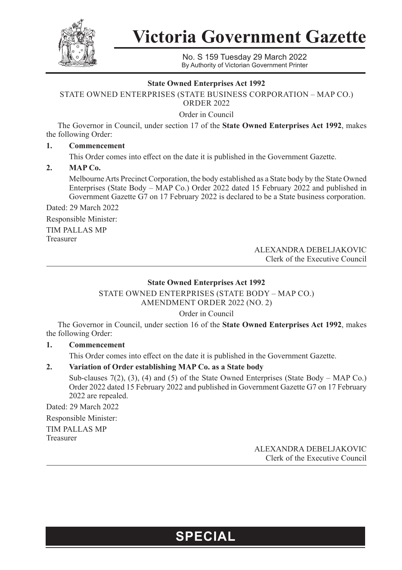

**Victoria Government Gazette**

No. S 159 Tuesday 29 March 2022 By Authority of Victorian Government Printer

#### **State Owned Enterprises Act 1992**

STATE OWNED ENTERPRISES (STATE BUSINESS CORPORATION – MAP CO.)

ORDER 2022

Order in Council

The Governor in Council, under section 17 of the **State Owned Enterprises Act 1992**, makes the following Order:

#### **1. Commencement**

This Order comes into effect on the date it is published in the Government Gazette.

#### **2. MAP Co.**

Melbourne Arts Precinct Corporation, the body established as a State body by the State Owned Enterprises (State Body – MAP Co.) Order 2022 dated 15 February 2022 and published in Government Gazette G7 on 17 February 2022 is declared to be a State business corporation.

Dated: 29 March 2022

Responsible Minister:

TIM PALLAS MP Treasurer

# ALEXANDRA DEBELJAKOVIC Clerk of the Executive Council

# **State Owned Enterprises Act 1992**

STATE OWNED ENTERPRISES (STATE BODY – MAP CO.) AMENDMENT ORDER 2022 (NO. 2)

#### Order in Council

The Governor in Council, under section 16 of the **State Owned Enterprises Act 1992**, makes the following Order:

#### **1. Commencement**

This Order comes into effect on the date it is published in the Government Gazette.

# **2. Variation of Order establishing MAP Co. as a State body**

Sub-clauses 7(2), (3), (4) and (5) of the State Owned Enterprises (State Body – MAP Co.) Order 2022 dated 15 February 2022 and published in Government Gazette G7 on 17 February 2022 are repealed.

Dated: 29 March 2022

Responsible Minister:

TIM PALLAS MP Treasurer

> ALEXANDRA DEBELJAKOVIC Clerk of the Executive Council

# **SPECIAL**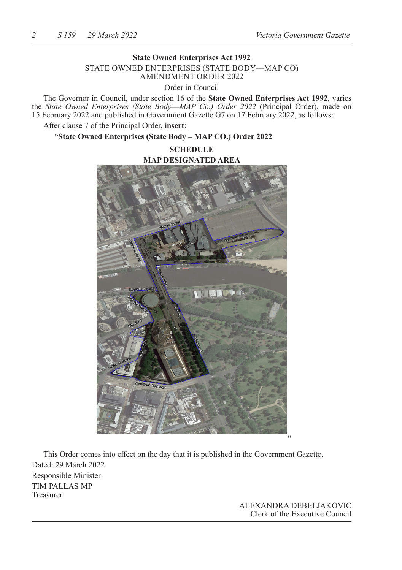#### **State Owned Enterprises Act 1992**

STATE OWNED ENTERPRISES (STATE BODY––MAP CO) AMENDMENT ORDER 2022

Order in Council

The Governor in Council, under section 16 of the **State Owned Enterprises Act 1992**, varies the *State Owned Enterprises (State Body––MAP Co.) Order 2022* (Principal Order), made on 15 February 2022 and published in Government Gazette G7 on 17 February 2022, as follows:

After clause 7 of the Principal Order, **insert**:

"**State Owned Enterprises (State Body – MAP CO.) Order 2022**

# **SCHEDULE MAP DESIGNATED AREA**



This Order comes into effect on the day that it is published in the Government Gazette. Dated: 29 March 2022 Responsible Minister: TIM PALLAS MP Treasurer

> ALEXANDRA DEBELJAKOVIC Clerk of the Executive Council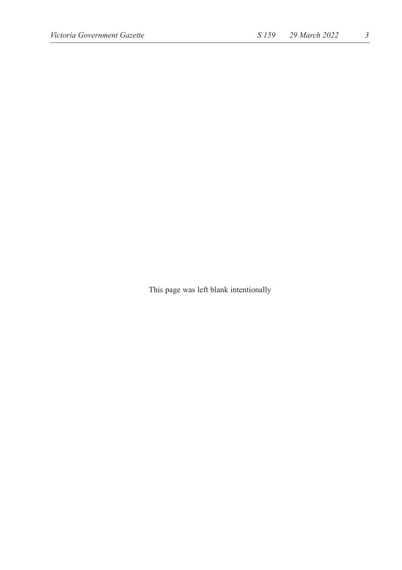This page was left blank intentionally